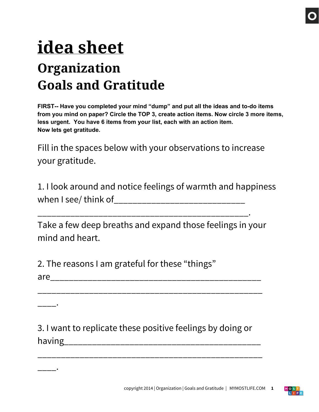## **idea sheet Organization Goals and Gratitude**

**FIRST-- Have you completed your mind "dump" and put all the ideas and to-do items from you mind on paper? Circle the TOP 3, create action items. Now circle 3 more items, less urgent. You have 6 items from your list, each with an action item. Now lets get gratitude.**

Fill in the spaces below with your observations to increase your gratitude.

1. I look around and notice feelings of warmth and happiness when I see/ think of\_\_\_\_\_\_\_\_\_\_\_\_\_\_\_\_\_\_\_\_\_\_\_\_\_\_\_\_

Take a few deep breaths and expand those feelings in your mind and heart.

\_\_\_\_\_\_\_\_\_\_\_\_\_\_\_\_\_\_\_\_\_\_\_\_\_\_\_\_\_\_\_\_\_\_\_\_\_\_\_\_\_\_\_\_\_.

2. The reasons I am grateful for these "things"

\_\_\_\_.

\_\_\_\_.

| ar <sup>r</sup><br>والمرابط ومرابط المرابط المرابط المرابط المرابط المرابط المرابط المرابط المرابط المرابط المرابط المرابط المرابط المرابط<br>____<br>___ |
|-----------------------------------------------------------------------------------------------------------------------------------------------------------|
|-----------------------------------------------------------------------------------------------------------------------------------------------------------|

\_\_\_\_\_\_\_\_\_\_\_\_\_\_\_\_\_\_\_\_\_\_\_\_\_\_\_\_\_\_\_\_\_\_\_\_\_\_\_\_\_\_\_\_\_\_\_\_

3. I want to replicate these positive feelings by doing or having\_\_\_\_\_\_\_\_\_\_\_\_\_\_\_\_\_\_\_\_\_\_\_\_\_\_\_\_\_\_\_\_\_\_\_\_\_\_\_\_\_\_

\_\_\_\_\_\_\_\_\_\_\_\_\_\_\_\_\_\_\_\_\_\_\_\_\_\_\_\_\_\_\_\_\_\_\_\_\_\_\_\_\_\_\_\_\_\_\_\_

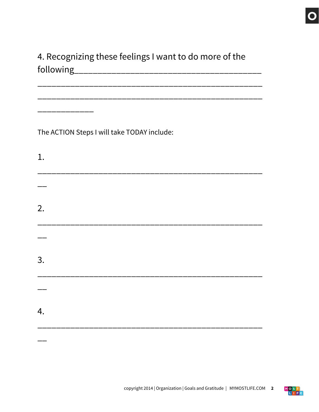## 4. Recognizing these feelings I want to do more of the

The ACTION Steps I will take TODAY include:

 $1.$  $2.$  $3.$  $4.$